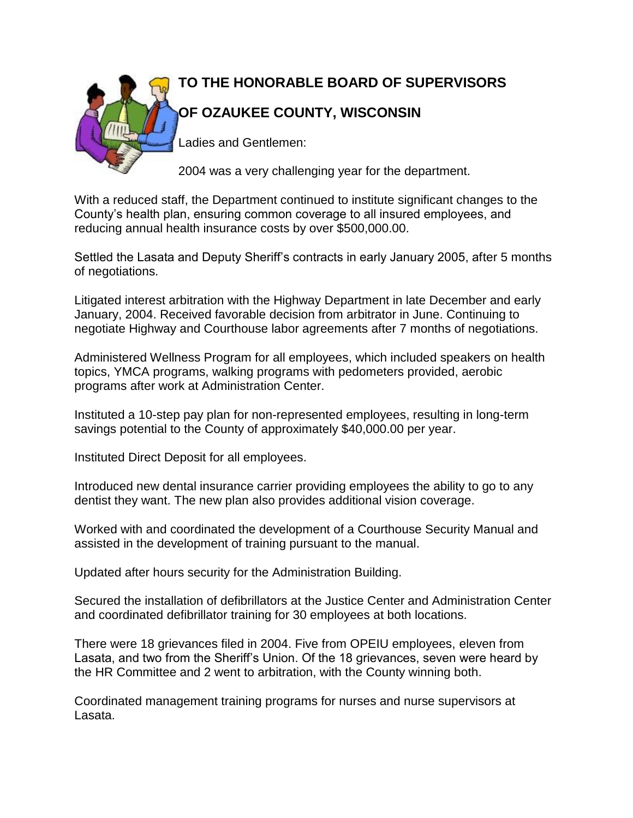

With a reduced staff, the Department continued to institute significant changes to the County's health plan, ensuring common coverage to all insured employees, and reducing annual health insurance costs by over \$500,000.00.

Settled the Lasata and Deputy Sheriff's contracts in early January 2005, after 5 months of negotiations.

Litigated interest arbitration with the Highway Department in late December and early January, 2004. Received favorable decision from arbitrator in June. Continuing to negotiate Highway and Courthouse labor agreements after 7 months of negotiations.

Administered Wellness Program for all employees, which included speakers on health topics, YMCA programs, walking programs with pedometers provided, aerobic programs after work at Administration Center.

Instituted a 10-step pay plan for non-represented employees, resulting in long-term savings potential to the County of approximately \$40,000.00 per year.

Instituted Direct Deposit for all employees.

Introduced new dental insurance carrier providing employees the ability to go to any dentist they want. The new plan also provides additional vision coverage.

Worked with and coordinated the development of a Courthouse Security Manual and assisted in the development of training pursuant to the manual.

Updated after hours security for the Administration Building.

Secured the installation of defibrillators at the Justice Center and Administration Center and coordinated defibrillator training for 30 employees at both locations.

There were 18 grievances filed in 2004. Five from OPEIU employees, eleven from Lasata, and two from the Sheriff's Union. Of the 18 grievances, seven were heard by the HR Committee and 2 went to arbitration, with the County winning both.

Coordinated management training programs for nurses and nurse supervisors at Lasata.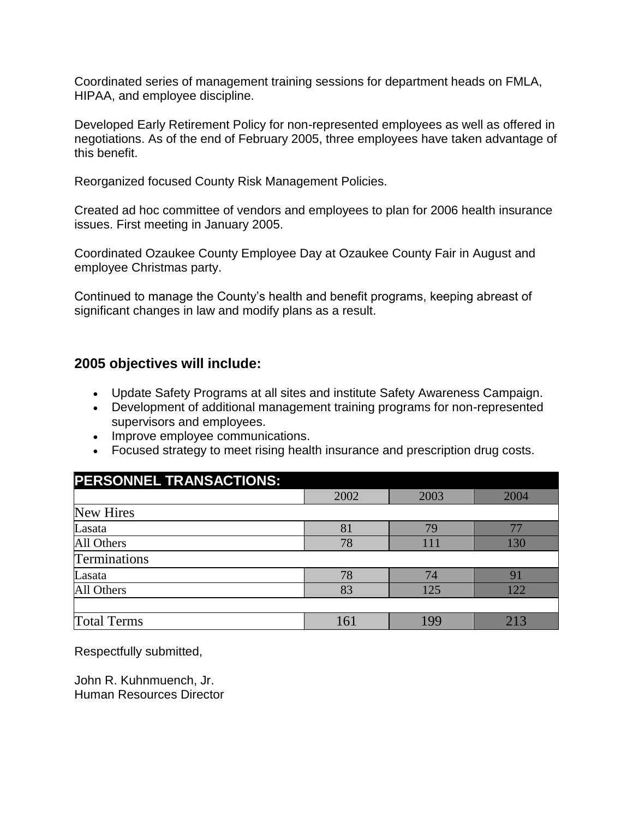Coordinated series of management training sessions for department heads on FMLA, HIPAA, and employee discipline.

Developed Early Retirement Policy for non-represented employees as well as offered in negotiations. As of the end of February 2005, three employees have taken advantage of this benefit.

Reorganized focused County Risk Management Policies.

Created ad hoc committee of vendors and employees to plan for 2006 health insurance issues. First meeting in January 2005.

Coordinated Ozaukee County Employee Day at Ozaukee County Fair in August and employee Christmas party.

Continued to manage the County's health and benefit programs, keeping abreast of significant changes in law and modify plans as a result.

## **2005 objectives will include:**

- Update Safety Programs at all sites and institute Safety Awareness Campaign.
- Development of additional management training programs for non-represented supervisors and employees.
- Improve employee communications.
- Focused strategy to meet rising health insurance and prescription drug costs.

| PERSONNEL TRANSACTIONS: |      |      |      |
|-------------------------|------|------|------|
|                         | 2002 | 2003 | 2004 |
| <b>New Hires</b>        |      |      |      |
| Lasata                  | 81   | 79   | 77   |
| All Others              | 78   | 111  | 130  |
| Terminations            |      |      |      |
| Lasata                  | 78   | 74   | 91   |
| All Others              | 83   | 125  | 122  |
|                         |      |      |      |
| <b>Total Terms</b>      | 161  | 199  | 213  |

Respectfully submitted,

John R. Kuhnmuench, Jr. Human Resources Director